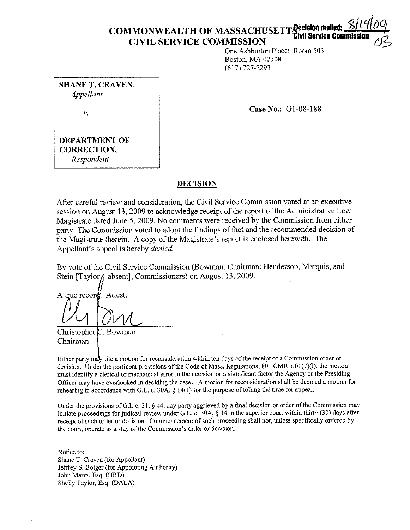# **COMMONWEALTH OF MASSACHUSETT Property Civil Service Community**  $CIVIL$  SERVICE COMMISSION

One Ashburton Place: Room 503 Boston, MA 02108 (617) 727-2293

**SHANE T. CRAVEN,**  *Appellant* 

V.

**Case No.:** Gl-08-188

## **DEPARTMENT OF CORRECTION,**  *Respondent*

## **DECISION**

After careful review and consideration, the Civil Service Commission voted at an executive session on August 13, 2009 to acknowledge receipt of the report of the Administrative Law Magistrate dated June 5, 2009. No comments were received by the Commission from either party. The Commission voted to adopt the findings of fact and the recommended decision of the Magistrate therein. A copy of the Magistrate's report is enclosed herewith. The Appellant's appeal is hereby *denied.* 

By vote of the Civil Service Commission (Bowman, Chairman; Henderson, Marquis, and Stein [Taylor  $\phi$  absent], Commissioners) on August 13, 2009.

A true record Attest.

Christopher Chairman C. Bowman

Either party may file a motion for reconsideration within ten days of the receipt of a Commission order or decision. Under the pertinent provisions of the Code of Mass. Regulations, 801 CMR  $1.01(7)(l)$ , the motion must identify a clerical or mechanical error in the decision or a significant factor the Agency or the Presiding Officer may have overlooked in deciding the case. A motion for reconsideration shall be deemed a motion for rehearing in accordance with G.L. c. 30A, § 14(1) for the purpose of tolling the time for appeal.

Under the provisions of G.L c. 31, § 44, any party aggrieved by a final decision or order of the Commission may initiate proceedings for judicial review under G.L. c. 30A, § 14 in the superior court within thirty (30) days after receipt of such order or decision. Commencement of such proceeding shall not, unless specifically ordered by the court, operate as a stay of the Commission's order or decision.

Notice to: Shane T. Craven (for Appellant) Jeffrey S. Bolger (for Appointing Authority) John Marra, Esq. (HRD) Shelly Taylor, Esq. (DALA)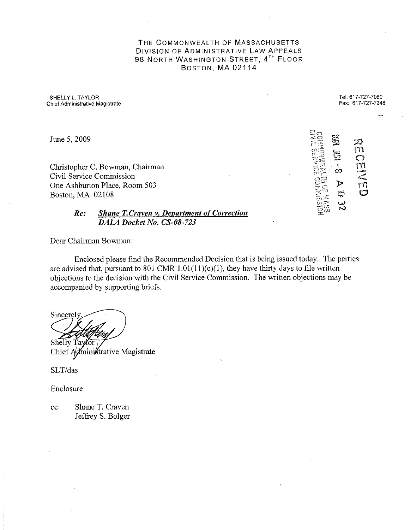THE COMMONWEALTH OF MASSACHUSETTS DIVISION OF ADMINISTRATIVE LAW APPEALS 98 NORTH WASHINGTON STREET, 4TH FLOOR BOSTON, MA 02114

SHELLY L. TAYLOR **Chief Administrative Magistrate** 

June 5, 2009

Christopher C. Bowman, Chairman Civil Service Commission One Ashburton Place, Room 503 Boston, MA 02108

## *Re: Shane T. Craven v. Department of Correction DALA Docket No. CS-08-723*

Dear Chairman Bowman:

Enclosed please find the Recommended Decision that is being issued today. The parties are advised that, pursuant to 801 CMR  $1.01(11)(c)(1)$ , they have thirty days to file written objections to the decision with the Civil Service Commission. The written objections may be accompanied by supporting briefs.

Sincerely Shelly Taylor

Chief Administrative Magistrate

SLT/das

Enclosure

cc: Shane T. Craven Jeffrey S. Bolger

| ر<br>پ |
|--------|
|--------|

Tel: 617-727-7060 Fax: 617-727-7248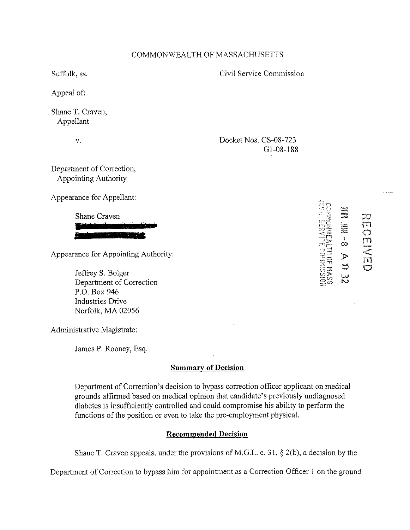## COMMONWEALTH OF MASSACHUSETTS

Suffolk, ss.

Appeal of:

Shane T. Craven, Appellant

V.

Civil Service Commission

Docket Nos. CS-08-723 G 1-08-188

Department of Correction, Appointing Authority

Appearance for Appellant:

Shane Craven

Appearance for Appointing Authority:

Jeffrey S. Bolger Department of Correction P.O. Box 946 Industries Drive Norfolk, MA 02056

Administrative Magistrate:

James P. Rooney, Esq.

## **Summary of Decision**

Department of Correction's decision to bypass correction officer applicant on medical grounds affirmed based on medical opinion that candidate's previously undiagnosed diabetes is insufficiently controlled and could compromise his ability to perform the functions of the position or even to take the pre-employment physical.

## **Recommended Decision**

Shane T. Craven appeals, under the provisions of M.G.L. c. 31,  $\S$  2(b), a decision by the

Department of Correction to bypass him for appointment as a Correction Officer I on the ground

**Second** 27 m Î I co  $\frac{1}{\overline{m}}$ J> Q .<br>مسا **w N** 

('") *a*   $\mathbb{C}$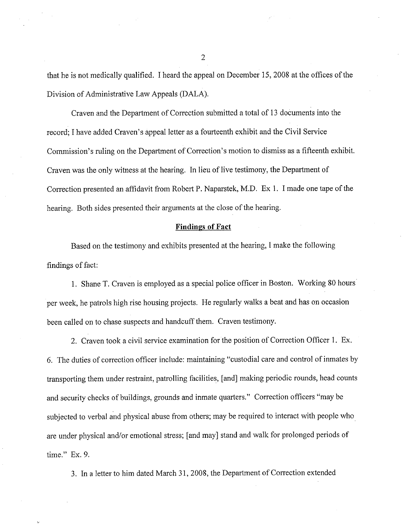that he is not medically qualified. I heard the appeal on December 15, 2008 at the offices of the Division of Administrative Law Appeals (DALA).

Craven and the Department of Correction submitted a total of 13 documents into the record; I have added Craven's appeal letter as a fourteenth exhibit and the Civil Service Commission's ruling on the Department of Correction's motion to dismiss as a fifteenth exhibit. Craven was the only witness at the hearing. In lieu of live testimony, the Department of Correction presented an affidavit from Robert P. Naparstek, M.D. Ex I. I made one tape of the hearing. Both sides presented their arguments at the close of the hearing.

#### **Findings of Fact**

Based on the testimony and exhibits presented at the hearing, I make the following findings of fact:

I. Shane T. Craven is employed as a special police officer in Boston. Working 80 hours per week, he patrols high rise housing projects. He regularly walks a beat and has on occasion been called on to chase suspects and handcuff them. Craven testimony.

2. Craven took a civil service examination for the position of Correction Officer 1. Ex. 6. The duties of correction officer include: maintaining "custodial care and control of inmates by transporting them under restraint, patrolling facilities, [ and] making periodic rounds, head counts and security checks of buildings, grounds and inmate quarters." Correction officers "may be subjected to verbal and physical abuse from others; may be required to interact with people who are under physical and/or emotional stress; [and may] stand and walk for prolonged periods of time." Ex. 9.

3. In a letter to him dated March 31, 2008, the Department of Correction extended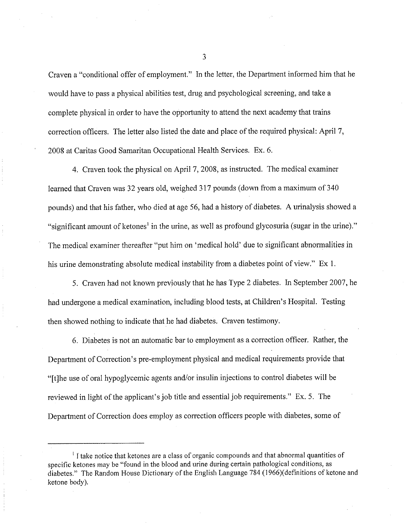Craven a "conditional offer of employment." In the letter, the Department informed him that he would have to pass a physical abilities test, drug and psychological screening, and take a complete physical in order to have the opportunity to attend the next academy that trains correction officers. The Jetter also listed the date and place of the required physical: April 7, 2008 at Caritas Good Samaritan Occupational Health Services. Ex. 6.

4. Craven took the physical on April 7, 2008, as instructed. The medical examiner learned that Craven was 32 years old, weighed 317 pounds (down from a maximum of 340 pounds) and that his father, who died at age 56, had a history of diabetes. A urinalysis showed a "significant amount of ketones<sup>1</sup> in the urine, as well as profound glycosuria (sugar in the urine)." The medical examiner thereafter "put him on 'medical hold' due to significant abnormalities in his urine demonstrating absolute medical instability from a diabetes point of view." Ex 1.

5. Craven had not known previously that he has Type 2 diabetes. In September 2007, he had undergone a medical examination, including blood tests, at Children's Hospital. Testing then showed nothing to indicate that he had diabetes. Craven testimony.

6. Diabetes is not an automatic bar to employment as a correction officer. Rather, the Department of Correction's pre-employment physical and medical requirements provide that "[t]he use of oral hypoglycemic agents and/or insulin injections to control diabetes will be reviewed in light of the applicant's job title and essential job requirements." Ex. 5. The Department of Correction does employ as correction officers people with diabetes, some of

<sup>&</sup>lt;sup>1</sup> I take notice that ketones are a class of organic compounds and that abnormal quantities of specific ketones may be "found in the blood and urine during certain pathological conditions, as diabetes." The Random House Dictionary of the English Language 784 (1966)(definitions of ketone and ketone body).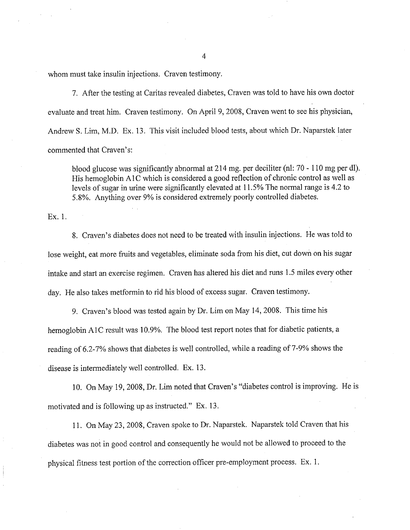whom must take insulin injections. Craven testimony.

7. After the testing at Caritas revealed diabetes, Craven was told to have his own doctor evaluate and treat him. Craven testimony. On April 9, 2008, Craven went to see his physician, Andrew S. Lim, M.D. Ex. 13. This visit included blood tests, about which Dr. Naparstek later commented that Craven's:

blood glucose was significantly abnormal at 214 mg. per deciliter (nl: 70 - 110 mg per dl). His hemoglobin A1C which is considered a good reflection of chronic control as well as levels of sugar in urine were significantly elevated at 11.5% The normal range is 4.2 to 5.8%. Anything over 9% is considered extremely poorly controlled diabetes.

Ex. 1.

8. Craven's diabetes does not need to be treated with insulin injections. He was told to lose weight, eat more fruits and vegetables, eliminate soda from his diet, cut down on his sugar intake and start an exercise regimen. Craven has altered his diet and runs 1.5 miles every other day. He also takes metformin to rid his blood of excess sugar. Craven testimony.

9. Craven's blood was tested again by Dr. Lim on May 14, 2008. This time his hemoglobin AIC result was 10.9%. The blood test report notes that for diabetic patients, a reading of 6.2-7% shows that diabetes is well controlled, while a reading of 7-9% shows the disease is intermediately well controlled. Ex. 13.

10. On May 19, 2008, Dr. Lim noted that Craven's "diabetes control is improving. He is motivated and is following up as instructed." Ex. 13.

11. On May 23, 2008, Craven spoke to Dr. Naparstek. Naparstek told Craven that his diabetes was not in good control and consequently he would not be allowed to proceed to the physical fitness test portion of the correction officer pre-employment process. Ex. I.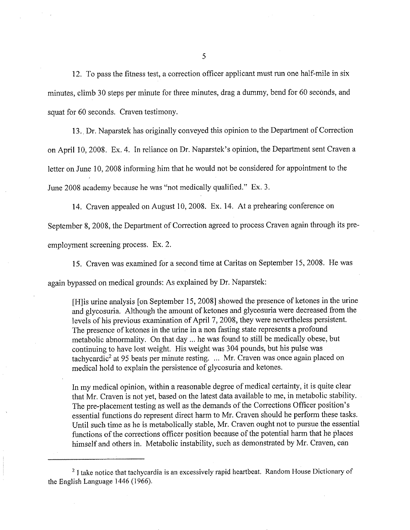12. To pass the fitness test, a correction officer applicant must run one half-mile in six minutes, climb 30 steps per minute for three minutes, drag a dummy, bend for 60 seconds, and squat for 60 seconds. Craven testimony.

13. Dr. Naparstek has originally conveyed this opinion to the Department of Correction on April 10, 2008. Ex. 4. In reliance on Dr. Naparstek's opinion, the Department sent Craven a letter on June 10, 2008 informing him that he would not be considered for appointment to the June 2008 academy because he was "not medically qualified." Ex. 3.

14. Craven appealed on August 10, 2008. Ex. 14. At a prehearing conference on September 8, 2008, the Department of Correction agreed to process Craven again through its preemployment screening process. Ex. 2.

15. Craven was examined for a second time at Caritas on September 15, 2008. He was again bypassed on medical grounds: As explained by Dr. Naparstek:

[H] is urine analysis [on September 15, 2008] showed the presence of ketones in the urine and glycosuria. Although the amount of ketones and glycosuria were decreased from the levels of his previous examination of April 7, 2008, they were nevertheless persistent. The presence of ketones in the urine in a non fasting state represents a profound metabolic abnormality. On that day ... he was found to still be medically obese, but continuing to have lost weight. His weight was 304 pounds, but his pulse was tachycardic2 at 95 beats per minute resting. ... Mr. Craven was once again placed on medical hold to explain the persistence of glycosuria and ketones.

In my medical opinion, within a reasonable degree of medical certainty, it is quite clear that Mr. Craven is not yet, based on the latest data available to me, in metabolic stability. The pre-placement testing as well as the demands of the Corrections Officer position's essential functions do represent direct harm to Mr. Craven should he perform these tasks. Until such time as he is metabolically stable, Mr. Craven ought not to pursue the essential functions of the corrections officer position because of the potential harm that he places himself and others in. Metabolic instability, such as demonstrated by Mr. Craven, can

<sup>&</sup>lt;sup>2</sup> I take notice that tachycardia is an excessively rapid heartbeat. Random House Dictionary of the English Language 1446 (1966).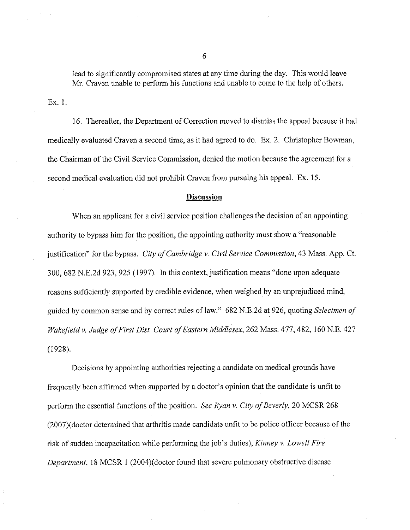lead to significantly compromised states at any time during the day. This would leave Mr. Craven unable to perform his functions and unable to come to the help of others.

Ex. 1.

16. Thereafter, the Department of Correction moved to dismiss the appeal because it had medically evaluated Craven a second time, as it had agreed to do. Ex. 2. Christopher Bowman, the Chairman of the Civil Service Commission, denied the motion because the agreement for a second medical evaluation did not prohibit Craven from pursuing his appeal. Ex. 15.

## **Discussion**

When an applicant for a civil service position challenges the decision of an appointing authority to bypass him for the position, the appointing authority must show a "reasonable justification" for the bypass. *City of Cambridge v. Civil Service Commission*, 43 Mass. App. Ct. 300, 682 N.E.2d 923, 925 (1997). In this context, justification means "done upon adequate reasons sufficiently supported by credible evidence, when weighed by an unprejudiced mind, guided by common sense and by correct rules of law." 682 N.E.2d at 926, quoting *Selectmen of Wakefield v. Judge a/First Dist. Court of Eastern Middlesex,* 262 Mass. 477, 482, 160 N.E. 427 (1928).

Decisions by appointing authorities rejecting a candidate on medical grounds have frequently been affirmed when supported by a doctor's opinion that the candidate is unfit to perform the essential functions of the position. *See Ryan v. City of Beverly,* 20 MCSR 268 (2007)( doctor determined that arthritis made candidate unfit to be police officer because of the risk of sudden incapacitation while performing the job's duties), *Kinney v. Lowell Fire Department,* 18 MCSR 1 (2004)(doctor found that severe pulmonary obstructive disease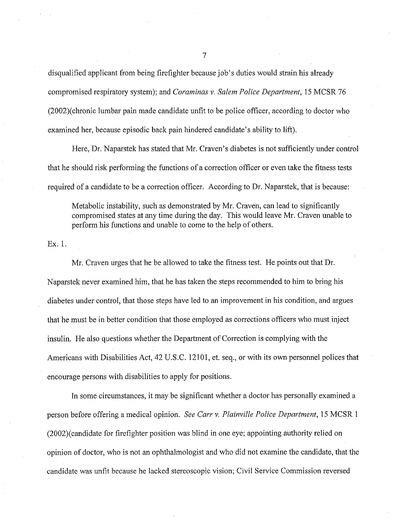disqualified applicant from being firefighter because job's duties would strain his already compromised respiratory system); and *Coraminas v. Salem Police Department,* 15 MCSR 76 (2002)( chronic lumbar pain made candidate unfit to be police officer, according to doctor who examined her, because episodic back pain hindered candidate's ability to lift).

Here, Dr. Naparstek has stated that Mr. Craven's diabetes is not sufficiently under control that he should risk performing the functions of a correction officer or even take the fitness tests required of a candidate to be a correction officer. According to Dr. Naparstek, that is because:

Metabolic instability, such as demonstrated by Mr. Craven, can lead to significantly compromised states at any time during the day. This would leave Mr. Craven unable to perform his functions and unable to come to the help of others.

Ex. 1.

Mr. Craven urges that he be allowed to take the fitness test. He points out that Dr. Naparstek never examined him, that he has taken the steps recommended to him to bring his diabetes under control, that those steps have led to an improvement in his condition, and argues that he must be in better condition that those employed as corrections officers who must inject insulin. He also questions whether the Department of Correction is complying with the Americans with Disabilities Act, 42 U.S.C. 12101, et. seq., or with its own personnel polices that encourage persons with disabilities to apply for positions.

In some circumstances, it may be significant whether a doctor has personally examined a person before offering a medical opinion. *See Carr v. Plainville Police Department,* 15 MCSR I (2002)( candidate for firefighter position was blind\_ in one eye; appointing authority relied on opinion of doctor, who is not an ophthalmologist and who did not examine the candidate, that the candidate was unfit because he lacked stereoscopic vision; Civil Service Commission reversed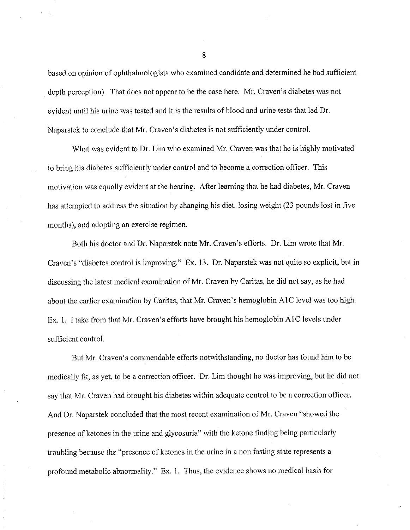based on opinion of ophthalmologists who examined candidate and determined he had sufficient depth perception). That does not appear to be the case here. Mr. Craven's diabetes was not evident until his urine was tested and it is the results of blood and urine tests that led Dr. Naparstek to conclude that Mr. Craven's diabetes is not sufficiently under control.

What was evident to Dr. Lim who examined Mr. Craven was that he is highly motivated to bring his diabetes sufficiently under control and to become a correction officer. This motivation was equally evident at the hearing. After learning that he had diabetes, Mr. Craven has attempted to address the situation by changing his diet, losing weight (23 pounds lost in five months), and adopting an exercise regimen.

Both his doctor and Dr. Naparstek note Mr. Craven's efforts. Dr. Lim wrote that Mr. Craven's "diabetes control is improving." Ex. 13. Dr. Naparstek was not quite so explicit, but in discussing the latest medical examination of Mr. Craven by Caritas, he did not say, as he had about the earlier examination by Caritas, that Mr. Craven's hemoglobin AlC level was too high. Ex. I. I take from that Mr. Craven's efforts have brought his hemoglobin AlC levels under sufficient control.

But Mr. Craven's commendable efforts notwithstanding, no doctor has found him to be medically fit, as yet, to be a correction officer. Dr. Lim thought he was improving, but he did not say that Mr. Craven had brought his diabetes within adequate control to be a correction officer. And Dr. Naparstek concluded that the most recent examination of Mr. Craven "showed the presence of ketones in the urine and glycosuria" with the ketone finding being particularly troubling because the "presence of ketones in the urine in a non fasting state represents a profound metabolic abnormality." Ex. 1. Thus, the evidence shows no medical basis for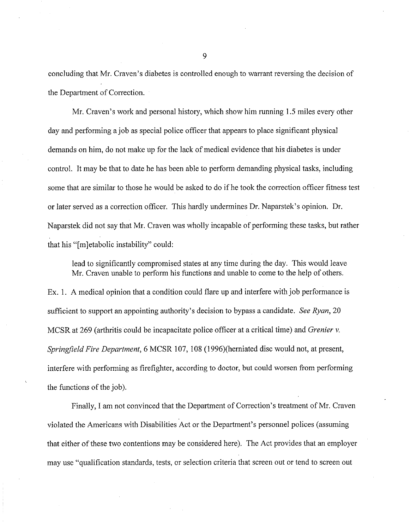concluding that Mr. Craven's diabetes is controlled enough to warrant reversing the decision of the Department of Correction.

Mr. Craven's work and personal history, which show him running 1.5 miles every other day and performing a job as special police officer that appears to place significant physical demands on him, do not make up for the lack of medical evidence that his diabetes is under control. It may be that to date he has been able to perform demanding physical tasks, including some that are similar to those he would be asked to do if he took the correction officer fitness test or later served as a correction officer. This hardly undermines Dr. Naparstek's opinion. Dr. Naparstek did not say that Mr. Craven was wholly incapable of performing these tasks, but rather that his "[m]etabolic instability" could:

lead to significantly compromised states at any time during the day. This would leave Mr. Craven unable to perform his functions and unable to come to the help of others. Ex. 1. A medical opinion that a condition could flare up and interfere with job performance is sufficient to support an appointing authority's decision to bypass a candidate. *See Ryan,* 20 MCSR at 269 (arthritis could be incapacitate police officer at a critical time) and *Grenier v. Springfield Fire Department,* 6 MCSR 107, 108 (1996)(herniated disc would not, at present, interfere with performing as firefighter, according to doctor, but could worsen from performing the functions of the job).

Finally, I am not convinced that the Department of Correction's treatment of Mr. Craven violated the Americans with Disabilities Act or the Department's personnel polices (assuming that either of these two contentions may be considered here). The Act provides that an employer may use "qualification standards, tests, or selection criteria that screen out or tend to screen out